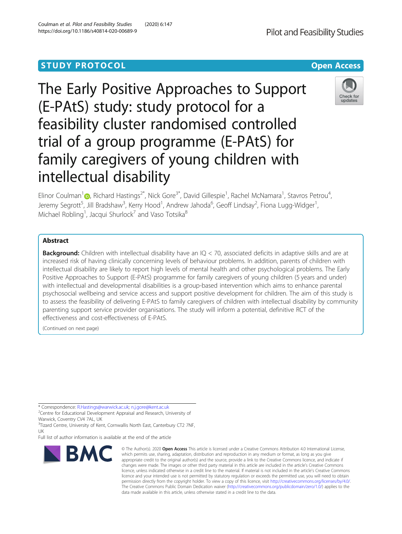# **STUDY PROTOCOL CONSUMING THE CONSUMING OPEN ACCESS**

The Early Positive Approaches to Support (E-PAtS) study: study protocol for a feasibility cluster randomised controlled trial of a group programme (E-PAtS) for family caregivers of young children with intellectual disability

**Pilot and Feasibility Studies** 

Elinor Coulman<sup>1</sup> D, Richard Hastings<sup>2\*</sup>, Nick Gore<sup>3\*</sup>, David Gillespie<sup>1</sup>, Rachel McNamara<sup>1</sup>, Stavros Petrou<sup>4</sup> , Jeremy Segrott<sup>5</sup>, Jill Bradshaw<sup>3</sup>, Kerry Hood<sup>1</sup>, Andrew Jahoda<sup>6</sup>, Geoff Lindsay<sup>2</sup>, Fiona Lugg-Widger<sup>1</sup> , Michael Robling<sup>1</sup>, Jacqui Shurlock<sup>7</sup> and Vaso Totsika<sup>8</sup>

# Abstract

**Background:** Children with intellectual disability have an  $IQ < 70$ , associated deficits in adaptive skills and are at increased risk of having clinically concerning levels of behaviour problems. In addition, parents of children with intellectual disability are likely to report high levels of mental health and other psychological problems. The Early Positive Approaches to Support (E-PAtS) programme for family caregivers of young children (5 years and under) with intellectual and developmental disabilities is a group-based intervention which aims to enhance parental psychosocial wellbeing and service access and support positive development for children. The aim of this study is to assess the feasibility of delivering E-PAtS to family caregivers of children with intellectual disability by community parenting support service provider organisations. The study will inform a potential, definitive RCT of the effectiveness and cost-effectiveness of E-PAtS.

(Continued on next page)

\* Correspondence: [R.Hastings@warwick.ac.uk;](mailto:R.Hastings@warwick.ac.uk) [n.j.gore@kent.ac.uk](mailto:n.j.gore@kent.ac.uk) <sup>2</sup>

<sup>2</sup>Centre for Educational Development Appraisal and Research, University of Warwick, Coventry CV4 7AL, UK

<sup>3</sup>Tizard Centre, University of Kent, Cornwallis North East, Canterbury CT2 7NF, UK

Full list of author information is available at the end of the article

# BMC

© The Author(s), 2020 **Open Access** This article is licensed under a Creative Commons Attribution 4.0 International License, which permits use, sharing, adaptation, distribution and reproduction in any medium or format, as long as you give appropriate credit to the original author(s) and the source, provide a link to the Creative Commons licence, and indicate if changes were made. The images or other third party material in this article are included in the article's Creative Commons licence, unless indicated otherwise in a credit line to the material. If material is not included in the article's Creative Commons licence and your intended use is not permitted by statutory regulation or exceeds the permitted use, you will need to obtain permission directly from the copyright holder. To view a copy of this licence, visit [http://creativecommons.org/licenses/by/4.0/.](http://creativecommons.org/licenses/by/4.0/) The Creative Commons Public Domain Dedication waiver [\(http://creativecommons.org/publicdomain/zero/1.0/](http://creativecommons.org/publicdomain/zero/1.0/)) applies to the data made available in this article, unless otherwise stated in a credit line to the data.

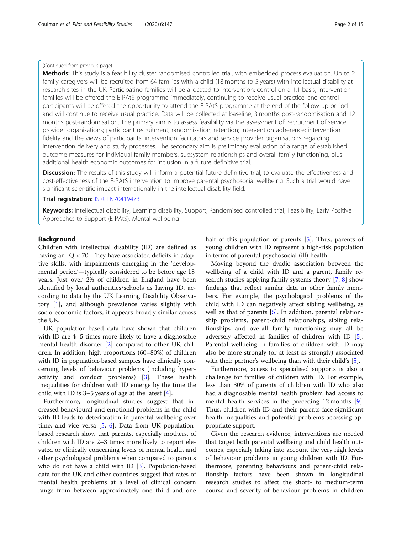# (Continued from previous page)

Methods: This study is a feasibility cluster randomised controlled trial, with embedded process evaluation. Up to 2 family caregivers will be recruited from 64 families with a child (18 months to 5 years) with intellectual disability at research sites in the UK. Participating families will be allocated to intervention: control on a 1:1 basis; intervention families will be offered the E-PAtS programme immediately, continuing to receive usual practice, and control participants will be offered the opportunity to attend the E-PAtS programme at the end of the follow-up period and will continue to receive usual practice. Data will be collected at baseline, 3 months post-randomisation and 12 months post-randomisation. The primary aim is to assess feasibility via the assessment of: recruitment of service provider organisations; participant recruitment; randomisation; retention; intervention adherence; intervention fidelity and the views of participants, intervention facilitators and service provider organisations regarding intervention delivery and study processes. The secondary aim is preliminary evaluation of a range of established outcome measures for individual family members, subsystem relationships and overall family functioning, plus additional health economic outcomes for inclusion in a future definitive trial.

Discussion: The results of this study will inform a potential future definitive trial, to evaluate the effectiveness and cost-effectiveness of the E-PAtS intervention to improve parental psychosocial wellbeing. Such a trial would have significant scientific impact internationally in the intellectual disability field.

# Trial registration: [ISRCTN70419473](https://doi.org/10.1186/ISRCTN70419473)

Keywords: Intellectual disability, Learning disability, Support, Randomised controlled trial, Feasibility, Early Positive Approaches to Support (E-PAtS), Mental wellbeing

# Background

Children with intellectual disability (ID) are defined as having an IQ < 70. They have associated deficits in adaptive skills, with impairments emerging in the 'developmental period'—typically considered to be before age 18 years. Just over 2% of children in England have been identified by local authorities/schools as having ID, according to data by the UK Learning Disability Observatory [[1\]](#page-13-0), and although prevalence varies slightly with socio-economic factors, it appears broadly similar across the UK.

UK population-based data have shown that children with ID are 4–5 times more likely to have a diagnosable mental health disorder [\[2](#page-13-0)] compared to other UK children. In addition, high proportions (60–80%) of children with ID in population-based samples have clinically concerning levels of behaviour problems (including hyperactivity and conduct problems) [\[3](#page-13-0)]. These health inequalities for children with ID emerge by the time the child with ID is  $3-5$  years of age at the latest  $[4]$  $[4]$ .

Furthermore, longitudinal studies suggest that increased behavioural and emotional problems in the child with ID leads to deterioration in parental wellbeing over time, and vice versa [\[5](#page-13-0), [6\]](#page-13-0). Data from UK populationbased research show that parents, especially mothers, of children with ID are 2–3 times more likely to report elevated or clinically concerning levels of mental health and other psychological problems when compared to parents who do not have a child with ID [\[3](#page-13-0)]. Population-based data for the UK and other countries suggest that rates of mental health problems at a level of clinical concern range from between approximately one third and one

half of this population of parents [\[5](#page-13-0)]. Thus, parents of young children with ID represent a high-risk population in terms of parental psychosocial (ill) health.

Moving beyond the dyadic association between the wellbeing of a child with ID and a parent, family research studies applying family systems theory [[7](#page-13-0), [8](#page-13-0)] show findings that reflect similar data in other family members. For example, the psychological problems of the child with ID can negatively affect sibling wellbeing, as well as that of parents [[5\]](#page-13-0). In addition, parental relationship problems, parent-child relationships, sibling relationships and overall family functioning may all be adversely affected in families of children with ID [\[5](#page-13-0)]. Parental wellbeing in families of children with ID may also be more strongly (or at least as strongly) associated with their partner's wellbeing than with their child's [[5\]](#page-13-0).

Furthermore, access to specialised supports is also a challenge for families of children with ID. For example, less than 30% of parents of children with ID who also had a diagnosable mental health problem had access to mental health services in the preceding 12 months [\[9](#page-13-0)]. Thus, children with ID and their parents face significant health inequalities and potential problems accessing appropriate support.

Given the research evidence, interventions are needed that target both parental wellbeing and child health outcomes, especially taking into account the very high levels of behaviour problems in young children with ID. Furthermore, parenting behaviours and parent-child relationship factors have been shown in longitudinal research studies to affect the short- to medium-term course and severity of behaviour problems in children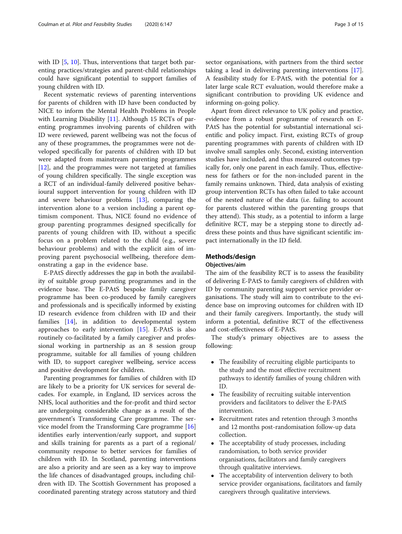with ID [\[5](#page-13-0), [10\]](#page-13-0). Thus, interventions that target both parenting practices/strategies and parent-child relationships could have significant potential to support families of young children with ID.

Recent systematic reviews of parenting interventions for parents of children with ID have been conducted by NICE to inform the Mental Health Problems in People with Learning Disability [\[11](#page-13-0)]. Although 15 RCTs of parenting programmes involving parents of children with ID were reviewed, parent wellbeing was not the focus of any of these programmes, the programmes were not developed specifically for parents of children with ID but were adapted from mainstream parenting programmes [[12\]](#page-13-0), and the programmes were not targeted at families of young children specifically. The single exception was a RCT of an individual-family delivered positive behavioural support intervention for young children with ID and severe behaviour problems [\[13](#page-13-0)], comparing the intervention alone to a version including a parent optimism component. Thus, NICE found no evidence of group parenting programmes designed specifically for parents of young children with ID, without a specific focus on a problem related to the child (e.g., severe behaviour problems) and with the explicit aim of improving parent psychosocial wellbeing, therefore demonstrating a gap in the evidence base.

E-PAtS directly addresses the gap in both the availability of suitable group parenting programmes and in the evidence base. The E-PAtS bespoke family caregiver programme has been co-produced by family caregivers and professionals and is specifically informed by existing ID research evidence from children with ID and their families [[14\]](#page-13-0), in addition to developmental system approaches to early intervention [\[15](#page-13-0)]. E-PAtS is also routinely co-facilitated by a family caregiver and professional working in partnership as an 8 session group programme, suitable for all families of young children with ID, to support caregiver wellbeing, service access and positive development for children.

Parenting programmes for families of children with ID are likely to be a priority for UK services for several decades. For example, in England, ID services across the NHS, local authorities and the for-profit and third sector are undergoing considerable change as a result of the government's Transforming Care programme. The service model from the Transforming Care programme [[16](#page-13-0)] identifies early intervention/early support, and support and skills training for parents as a part of a regional/ community response to better services for families of children with ID. In Scotland, parenting interventions are also a priority and are seen as a key way to improve the life chances of disadvantaged groups, including children with ID. The Scottish Government has proposed a coordinated parenting strategy across statutory and third sector organisations, with partners from the third sector taking a lead in delivering parenting interventions [\[17](#page-13-0)]. A feasibility study for E-PAtS, with the potential for a later large scale RCT evaluation, would therefore make a significant contribution to providing UK evidence and informing on-going policy.

Apart from direct relevance to UK policy and practice, evidence from a robust programme of research on E-PAtS has the potential for substantial international scientific and policy impact. First, existing RCTs of group parenting programmes with parents of children with ID involve small samples only. Second, existing intervention studies have included, and thus measured outcomes typically for, only one parent in each family. Thus, effectiveness for fathers or for the non-included parent in the family remains unknown. Third, data analysis of existing group intervention RCTs has often failed to take account of the nested nature of the data (i.e. failing to account for parents clustered within the parenting groups that they attend). This study, as a potential to inform a large definitive RCT, may be a stepping stone to directly address these points and thus have significant scientific impact internationally in the ID field.

# Methods/design

#### Objectives/aim

The aim of the feasibility RCT is to assess the feasibility of delivering E-PAtS to family caregivers of children with ID by community parenting support service provider organisations. The study will aim to contribute to the evidence base on improving outcomes for children with ID and their family caregivers. Importantly, the study will inform a potential, definitive RCT of the effectiveness and cost-effectiveness of E-PAtS.

The study's primary objectives are to assess the following:

- The feasibility of recruiting eligible participants to the study and the most effective recruitment pathways to identify families of young children with ID.
- The feasibility of recruiting suitable intervention providers and facilitators to deliver the E-PAtS intervention.
- Recruitment rates and retention through 3 months and 12 months post-randomisation follow-up data collection.
- The acceptability of study processes, including randomisation, to both service provider organisations, facilitators and family caregivers through qualitative interviews.
- The acceptability of intervention delivery to both service provider organisations, facilitators and family caregivers through qualitative interviews.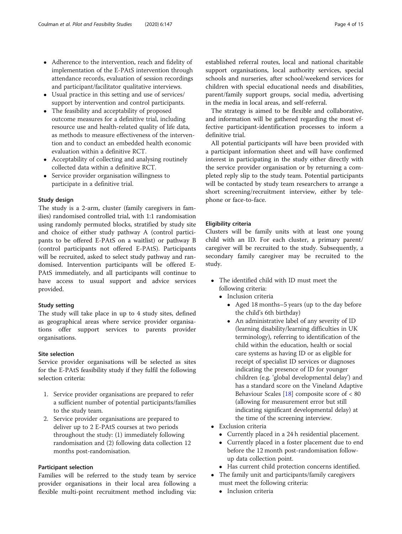- Adherence to the intervention, reach and fidelity of implementation of the E-PAtS intervention through attendance records, evaluation of session recordings and participant/facilitator qualitative interviews.
- Usual practice in this setting and use of services/ support by intervention and control participants.
- The feasibility and acceptability of proposed outcome measures for a definitive trial, including resource use and health-related quality of life data, as methods to measure effectiveness of the intervention and to conduct an embedded health economic evaluation within a definitive RCT.
- Acceptability of collecting and analysing routinely collected data within a definitive RCT.
- Service provider organisation willingness to participate in a definitive trial.

#### Study design

The study is a 2-arm, cluster (family caregivers in families) randomised controlled trial, with 1:1 randomisation using randomly permuted blocks, stratified by study site and choice of either study pathway A (control participants to be offered E-PAtS on a waitlist) or pathway B (control participants not offered E-PAtS). Participants will be recruited, asked to select study pathway and randomised. Intervention participants will be offered E-PAtS immediately, and all participants will continue to have access to usual support and advice services provided.

# Study setting

The study will take place in up to 4 study sites, defined as geographical areas where service provider organisations offer support services to parents provider organisations.

#### Site selection

Service provider organisations will be selected as sites for the E-PAtS feasibility study if they fulfil the following selection criteria:

- 1. Service provider organisations are prepared to refer a sufficient number of potential participants/families to the study team.
- 2. Service provider organisations are prepared to deliver up to 2 E-PAtS courses at two periods throughout the study: (1) immediately following randomisation and (2) following data collection 12 months post-randomisation.

#### Participant selection

Families will be referred to the study team by service provider organisations in their local area following a flexible multi-point recruitment method including via: established referral routes, local and national charitable support organisations, local authority services, special schools and nurseries, after school/weekend services for children with special educational needs and disabilities, parent/family support groups, social media, advertising in the media in local areas, and self-referral.

The strategy is aimed to be flexible and collaborative, and information will be gathered regarding the most effective participant-identification processes to inform a definitive trial.

All potential participants will have been provided with a participant information sheet and will have confirmed interest in participating in the study either directly with the service provider organisation or by returning a completed reply slip to the study team. Potential participants will be contacted by study team researchers to arrange a short screening/recruitment interview, either by telephone or face-to-face.

# Eligibility criteria

Clusters will be family units with at least one young child with an ID. For each cluster, a primary parent/ caregiver will be recruited to the study. Subsequently, a secondary family caregiver may be recruited to the study.

- The identified child with ID must meet the following criteria:
	- Inclusion criteria
		- Aged 18 months–5 years (up to the day before the child's 6th birthday)
		- An administrative label of any severity of ID (learning disability/learning difficulties in UK terminology), referring to identification of the child within the education, health or social care systems as having ID or as eligible for receipt of specialist ID services or diagnoses indicating the presence of ID for younger children (e.g. 'global developmental delay') and has a standard score on the Vineland Adaptive Behaviour Scales  $[18]$  composite score of  $< 80$ (allowing for measurement error but still indicating significant developmental delay) at the time of the screening interview.
- **Exclusion criteria** 
	- Currently placed in a 24 h residential placement.
	- Currently placed in a foster placement due to end before the 12 month post-randomisation followup data collection point.
	- Has current child protection concerns identified.
- The family unit and participants/family caregivers must meet the following criteria:
	- Inclusion criteria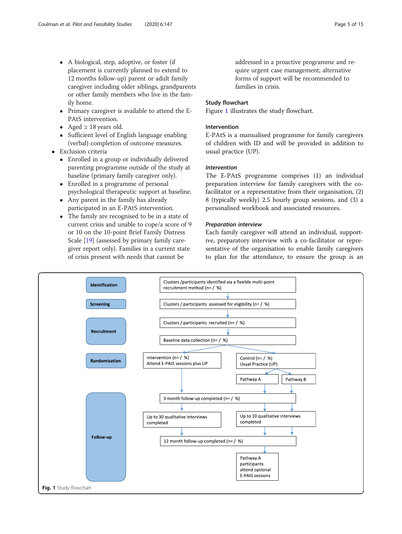- <span id="page-4-0"></span> A biological, step, adoptive, or foster (if placement is currently planned to extend to 12 months follow-up) parent or adult family caregiver including older siblings, grandparents or other family members who live in the family home.
- Primary caregiver is available to attend the E-PAtS intervention.
- Aged  $\geq$  18 years old.
- Sufficient level of English language enabling (verbal) completion of outcome measures.
- Exclusion criteria
	- Enrolled in a group or individually delivered parenting programme outside of the study at baseline (primary family caregiver only).
	- Enrolled in a programme of personal psychological therapeutic support at baseline.
	- Any parent in the family has already participated in an E-PAtS intervention.
	- The family are recognised to be in a state of current crisis and unable to cope/a score of 9 or 10 on the 10-point Brief Family Distress Scale [\[19\]](#page-13-0) (assessed by primary family caregiver report only). Families in a current state of crisis present with needs that cannot be

addressed in a proactive programme and require urgent case management; alternative forms of support will be recommended to families in crisis.

# Study flowchart

Figure 1 illustrates the study flowchart.

# Intervention

E-PAtS is a manualised programme for family caregivers of children with ID and will be provided in addition to usual practice (UP).

# Intervention

The E-PAtS programme comprises (1) an individual preparation interview for family caregivers with the cofacilitator or a representative from their organisation, (2) 8 (typically weekly) 2.5 hourly group sessions, and (3) a personalised workbook and associated resources.

# Preparation interview

Each family caregiver will attend an individual, supportive, preparatory interview with a co-facilitator or representative of the organisation to enable family caregivers to plan for the attendance, to ensure the group is an

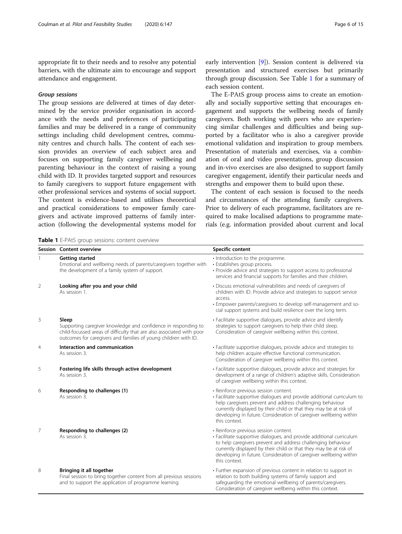appropriate fit to their needs and to resolve any potential barriers, with the ultimate aim to encourage and support attendance and engagement.

# Group sessions

The group sessions are delivered at times of day determined by the service provider organisation in accordance with the needs and preferences of participating families and may be delivered in a range of community settings including child development centres, community centres and church halls. The content of each session provides an overview of each subject area and focuses on supporting family caregiver wellbeing and parenting behaviour in the context of raising a young child with ID. It provides targeted support and resources to family caregivers to support future engagement with other professional services and systems of social support. The content is evidence-based and utilises theoretical and practical considerations to empower family caregivers and activate improved patterns of family interaction (following the developmental systems model for

early intervention [\[9](#page-13-0)]). Session content is delivered via presentation and structured exercises but primarily through group discussion. See Table 1 for a summary of each session content.

The E-PAtS group process aims to create an emotionally and socially supportive setting that encourages engagement and supports the wellbeing needs of family caregivers. Both working with peers who are experiencing similar challenges and difficulties and being supported by a facilitator who is also a caregiver provide emotional validation and inspiration to group members. Presentation of materials and exercises, via a combination of oral and video presentations, group discussion and in-vivo exercises are also designed to support family caregiver engagement, identify their particular needs and strengths and empower them to build upon these.

The content of each session is focused to the needs and circumstances of the attending family caregivers. Prior to delivery of each programme, facilitators are required to make localised adaptions to programme materials (e.g. information provided about current and local

|  |  |  |  |  |  | Table 1 E-PAtS group sessions: content overview |
|--|--|--|--|--|--|-------------------------------------------------|
|--|--|--|--|--|--|-------------------------------------------------|

|                | Session Content overview                                                                                                                                                                                            | Specific content                                                                                                                                                                                                                                                                                                                         |
|----------------|---------------------------------------------------------------------------------------------------------------------------------------------------------------------------------------------------------------------|------------------------------------------------------------------------------------------------------------------------------------------------------------------------------------------------------------------------------------------------------------------------------------------------------------------------------------------|
|                | <b>Getting started</b><br>Emotional and wellbeing needs of parents/caregivers together with<br>the development of a family system of support.                                                                       | • Introduction to the programme.<br>• Establishes group process.<br>• Provide advice and strategies to support access to professional<br>services and financial supports for families and their children.                                                                                                                                |
| 2              | Looking after you and your child<br>As session 1.                                                                                                                                                                   | · Discuss emotional vulnerabilities and needs of caregivers of<br>children with ID. Provide advice and strategies to support service<br>access.<br>• Empower parents/caregivers to develop self-management and so-<br>cial support systems and build resilience over the long term.                                                      |
| 3              | Sleep<br>Supporting caregiver knowledge and confidence in responding to<br>child-focussed areas of difficulty that are also associated with poor<br>outcomes for caregivers and families of young children with ID. | • Facilitate supportive dialogues, provide advice and identify<br>strategies to support caregivers to help their child sleep.<br>Consideration of caregiver wellbeing within this context.                                                                                                                                               |
| $\overline{4}$ | Interaction and communication<br>As session 3.                                                                                                                                                                      | · Facilitate supportive dialogues, provide advice and strategies to<br>help children acquire effective functional communication.<br>Consideration of caregiver wellbeing within this context.                                                                                                                                            |
| 5              | Fostering life skills through active development<br>As session 3.                                                                                                                                                   | • Facilitate supportive dialogues, provide advice and strategies for<br>development of a range of children's adaptive skills. Consideration<br>of caregiver wellbeing within this context.                                                                                                                                               |
| 6              | Responding to challenges (1)<br>As session 3.                                                                                                                                                                       | · Reinforce previous session content.<br>· Facilitate supportive dialogues and provide additional curriculum to<br>help caregivers prevent and address challenging behaviour<br>currently displayed by their child or that they may be at risk of<br>developing in future. Consideration of caregiver wellbeing within<br>this context.  |
| 7              | Responding to challenges (2)<br>As session 3.                                                                                                                                                                       | · Reinforce previous session content.<br>· Facilitate supportive dialogues, and provide additional curriculum<br>to help caregivers prevent and address challenging behaviour<br>currently displayed by their child or that they may be at risk of<br>developing in future. Consideration of caregiver wellbeing within<br>this context. |
| 8              | Bringing it all together<br>Final session to bring together content from all previous sessions<br>and to support the application of programme learning.                                                             | • Further expansion of previous content in relation to support in<br>relation to both building systems of family support and<br>safeguarding the emotional wellbeing of parents/caregivers.<br>Consideration of caregiver wellbeing within this context.                                                                                 |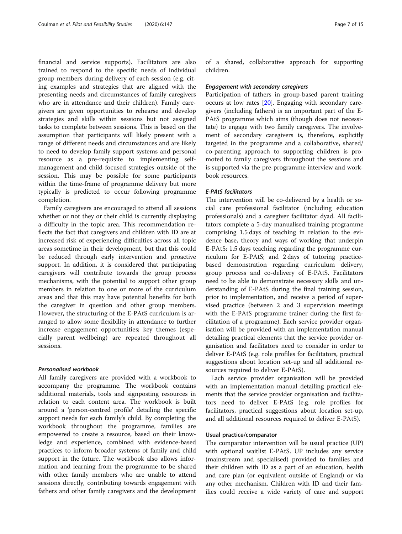financial and service supports). Facilitators are also trained to respond to the specific needs of individual group members during delivery of each session (e.g. citing examples and strategies that are aligned with the presenting needs and circumstances of family caregivers who are in attendance and their children). Family caregivers are given opportunities to rehearse and develop strategies and skills within sessions but not assigned tasks to complete between sessions. This is based on the assumption that participants will likely present with a range of different needs and circumstances and are likely to need to develop family support systems and personal resource as a pre-requisite to implementing selfmanagement and child-focused strategies outside of the session. This may be possible for some participants within the time-frame of programme delivery but more typically is predicted to occur following programme completion.

Family caregivers are encouraged to attend all sessions whether or not they or their child is currently displaying a difficulty in the topic area. This recommendation reflects the fact that caregivers and children with ID are at increased risk of experiencing difficulties across all topic areas sometime in their development, but that this could be reduced through early intervention and proactive support. In addition, it is considered that participating caregivers will contribute towards the group process mechanisms, with the potential to support other group members in relation to one or more of the curriculum areas and that this may have potential benefits for both the caregiver in question and other group members. However, the structuring of the E-PAtS curriculum is arranged to allow some flexibility in attendance to further increase engagement opportunities; key themes (especially parent wellbeing) are repeated throughout all sessions.

#### Personalised workbook

All family caregivers are provided with a workbook to accompany the programme. The workbook contains additional materials, tools and signposting resources in relation to each content area. The workbook is built around a 'person-centred profile' detailing the specific support needs for each family's child. By completing the workbook throughout the programme, families are empowered to create a resource, based on their knowledge and experience, combined with evidence-based practices to inform broader systems of family and child support in the future. The workbook also allows information and learning from the programme to be shared with other family members who are unable to attend sessions directly, contributing towards engagement with fathers and other family caregivers and the development of a shared, collaborative approach for supporting children.

#### Engagement with secondary caregivers

Participation of fathers in group-based parent training occurs at low rates [\[20](#page-13-0)]. Engaging with secondary caregivers (including fathers) is an important part of the E-PAtS programme which aims (though does not necessitate) to engage with two family caregivers. The involvement of secondary caregivers is, therefore, explicitly targeted in the programme and a collaborative, shared/ co-parenting approach to supporting children is promoted to family caregivers throughout the sessions and is supported via the pre-programme interview and workbook resources.

#### E-PAtS facilitators

The intervention will be co-delivered by a health or social care professional facilitator (including education professionals) and a caregiver facilitator dyad. All facilitators complete a 5-day manualised training programme comprising 1.5 days of teaching in relation to the evidence base, theory and ways of working that underpin E-PAtS; 1.5 days teaching regarding the programme curriculum for E-PAtS; and 2 days of tutoring practicebased demonstration regarding curriculum delivery, group process and co-delivery of E-PAtS. Facilitators need to be able to demonstrate necessary skills and understanding of E-PAtS during the final training session, prior to implementation, and receive a period of supervised practice (between 2 and 3 supervision meetings with the E-PAtS programme trainer during the first facilitation of a programme). Each service provider organisation will be provided with an implementation manual detailing practical elements that the service provider organisation and facilitators need to consider in order to deliver E-PAtS (e.g. role profiles for facilitators, practical suggestions about location set-up and all additional resources required to deliver E-PAtS).

Each service provider organisation will be provided with an implementation manual detailing practical elements that the service provider organisation and facilitators need to deliver E-PAtS (e.g. role profiles for facilitators, practical suggestions about location set-up, and all additional resources required to deliver E-PAtS).

#### Usual practice/comparator

The comparator intervention will be usual practice (UP) with optional waitlist E-PAtS. UP includes any service (mainstream and specialised) provided to families and their children with ID as a part of an education, health and care plan (or equivalent outside of England) or via any other mechanism. Children with ID and their families could receive a wide variety of care and support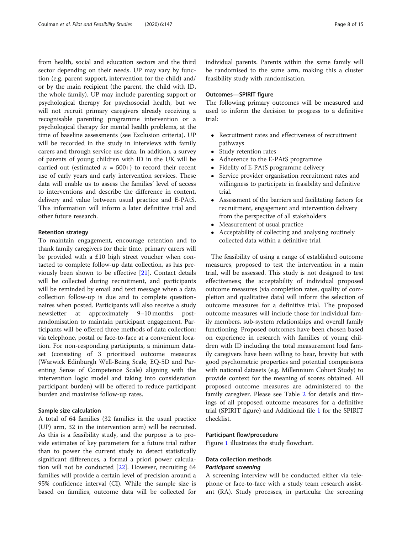from health, social and education sectors and the third sector depending on their needs. UP may vary by function (e.g. parent support, intervention for the child) and/ or by the main recipient (the parent, the child with ID, the whole family). UP may include parenting support or psychological therapy for psychosocial health, but we will not recruit primary caregivers already receiving a recognisable parenting programme intervention or a psychological therapy for mental health problems, at the time of baseline assessments (see Exclusion criteria). UP will be recorded in the study in interviews with family carers and through service use data. In addition, a survey of parents of young children with ID in the UK will be carried out (estimated  $n = 500+$ ) to record their recent use of early years and early intervention services. These data will enable us to assess the families' level of access to interventions and describe the difference in content, delivery and value between usual practice and E-PAtS. This information will inform a later definitive trial and other future research.

#### Retention strategy

To maintain engagement, encourage retention and to thank family caregivers for their time, primary carers will be provided with a £10 high street voucher when contacted to complete follow-up data collection, as has previously been shown to be effective [\[21\]](#page-13-0). Contact details will be collected during recruitment, and participants will be reminded by email and text message when a data collection follow-up is due and to complete questionnaires when posted. Participants will also receive a study newsletter at approximately 9–10 months postrandomisation to maintain participant engagement. Participants will be offered three methods of data collection: via telephone, postal or face-to-face at a convenient location. For non-responding participants, a minimum dataset (consisting of 3 prioritised outcome measures (Warwick Edinburgh Well-Being Scale, EQ-5D and Parenting Sense of Competence Scale) aligning with the intervention logic model and taking into consideration participant burden) will be offered to reduce participant burden and maximise follow-up rates.

#### Sample size calculation

A total of 64 families (32 families in the usual practice (UP) arm, 32 in the intervention arm) will be recruited. As this is a feasibility study, and the purpose is to provide estimates of key parameters for a future trial rather than to power the current study to detect statistically significant differences, a formal a priori power calculation will not be conducted [[22](#page-13-0)]. However, recruiting 64 families will provide a certain level of precision around a 95% confidence interval (CI). While the sample size is based on families, outcome data will be collected for individual parents. Parents within the same family will be randomised to the same arm, making this a cluster feasibility study with randomisation.

# Outcomes—SPIRIT figure

The following primary outcomes will be measured and used to inform the decision to progress to a definitive trial:

- Recruitment rates and effectiveness of recruitment pathways
- Study retention rates
- Adherence to the E-PAtS programme
- Fidelity of E-PAtS programme delivery
- Service provider organisation recruitment rates and willingness to participate in feasibility and definitive trial.
- Assessment of the barriers and facilitating factors for recruitment, engagement and intervention delivery from the perspective of all stakeholders
- Measurement of usual practice
- Acceptability of collecting and analysing routinely collected data within a definitive trial.

The feasibility of using a range of established outcome measures, proposed to test the intervention in a main trial, will be assessed. This study is not designed to test effectiveness; the acceptability of individual proposed outcome measures (via completion rates, quality of completion and qualitative data) will inform the selection of outcome measures for a definitive trial. The proposed outcome measures will include those for individual family members, sub-system relationships and overall family functioning. Proposed outcomes have been chosen based on experience in research with families of young children with ID including the total measurement load family caregivers have been willing to bear, brevity but with good psychometric properties and potential comparisons with national datasets (e.g. Millennium Cohort Study) to provide context for the meaning of scores obtained. All proposed outcome measures are administered to the family caregiver. Please see Table [2](#page-8-0) for details and timings of all proposed outcome measures for a definitive trial (SPIRIT figure) and Additional file [1](#page-13-0) for the SPIRIT checklist.

#### Participant flow/procedure

Figure [1](#page-4-0) illustrates the study flowchart.

# Data collection methods

# Participant screening

A screening interview will be conducted either via telephone or face-to-face with a study team research assistant (RA). Study processes, in particular the screening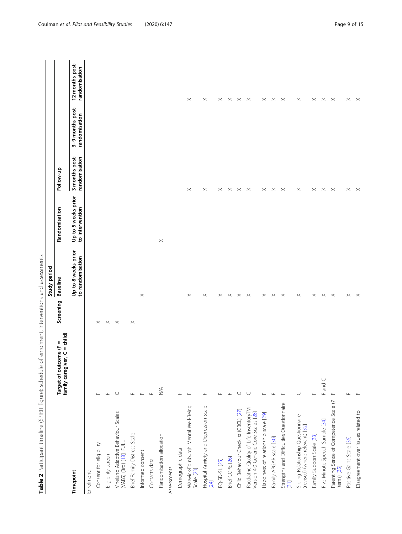<span id="page-8-0"></span>

|                                                                                |                                                           |                                  | Study period                            |                                        |                                 |                                   |                                    |
|--------------------------------------------------------------------------------|-----------------------------------------------------------|----------------------------------|-----------------------------------------|----------------------------------------|---------------------------------|-----------------------------------|------------------------------------|
|                                                                                | family caregiver, C = child)<br>Ш<br>Target of outcome (F | Screening                        | <b>Baseline</b>                         | Randomisation                          | Follow-up                       |                                   |                                    |
| Timepoint                                                                      |                                                           |                                  | Up to 8 weeks prior<br>to randomisation | Up to 5 weeks prior<br>to intervention | 3 months post-<br>randomisation | 3-9 months post-<br>randomisation | 12 months post-<br>randomisation   |
| Enrolment:                                                                     |                                                           |                                  |                                         |                                        |                                 |                                   |                                    |
| Consent for eligibility                                                        | $\sqcup$                                                  | $\times$                         |                                         |                                        |                                 |                                   |                                    |
| Eligibility screen                                                             | $\sqcup$                                                  | $\mathbb{R}^n\times\mathbb{R}^n$ |                                         |                                        |                                 |                                   |                                    |
| Vineland Adaptive Behaviour Scales<br>(VABS) (3rd) [18]. FULL                  | $\cup$                                                    |                                  |                                         |                                        |                                 |                                   |                                    |
| Brief Family Distress Scale                                                    | Щ                                                         | $\times$                         |                                         |                                        |                                 |                                   |                                    |
| Informed consent                                                               | $\sqcup$                                                  |                                  | $\times$                                |                                        |                                 |                                   |                                    |
| Contacts data                                                                  | $\sqcup$                                                  |                                  |                                         |                                        |                                 |                                   |                                    |
| Randomisation allocation                                                       | $\lessapprox$                                             |                                  |                                         | $\boldsymbol{\times}$                  |                                 |                                   |                                    |
| Assessments:                                                                   |                                                           |                                  |                                         |                                        |                                 |                                   |                                    |
| Demographic data                                                               | Щ                                                         |                                  |                                         |                                        |                                 |                                   |                                    |
| Warwick-Edinburgh Mental Well-Being<br>Scale [23]                              | $\sqcup$                                                  |                                  | $\times$                                |                                        | $\times$                        |                                   | $\times$                           |
| Hospital Anxiety and Depression scale<br>[24]                                  | $\sqcup\!\sqcup$                                          |                                  | $\boldsymbol{\times}$                   |                                        | $\! \times$                     |                                   | $\times$                           |
| EQ-5D-5L [25]                                                                  | Щ                                                         |                                  | $\times$                                |                                        | $\times$                        |                                   | $\times$                           |
| Brief COPE [26]                                                                | $\sqcup$                                                  |                                  | $\times$                                |                                        | $\times$                        |                                   | $\times$                           |
| Child Behaviour Checklist (CBCL) [27]                                          | $\cup$                                                    |                                  |                                         |                                        | $\times$                        |                                   | $\mathbb{R}^n \times \mathbb{R}^n$ |
| Paediatric Quality of Life InventoryTM<br>Version 4.0 Generic Core Scales [28] | $\cup$                                                    |                                  | $\times$ $\times$                       |                                        | $\mathbb{1}$                    |                                   |                                    |
| Happiness of relationship scale [29]                                           | $\mathsf{L}\mathsf{L}$                                    |                                  | $\times$                                |                                        | $\times$                        |                                   | $\times$                           |
| Family APGAR scale [30]                                                        | $\sqcup$                                                  |                                  | $\times$                                |                                        | $\times$                        |                                   | $\times$                           |
| Strengths and Difficulties Questionnaire<br>$\overline{31}$                    | $\sqcup$                                                  |                                  | $\mathbb{1}$                            |                                        | $\overline{\mathsf{X}}$         |                                   | $\mathbb{R}^2$                     |
| Sibling Relationship Questionnaire<br>(revised) (where relevant) [32]          | $\cup$                                                    |                                  | $\times$                                |                                        | $\times$                        |                                   | $\times$                           |
| Family Support Scale [33]                                                      | $\sqcup\!\sqcup$                                          |                                  | $\times$                                |                                        | $\times$                        |                                   | $\times$                           |
| Five Minute Speech Sample [34]                                                 | $F$ and $C$                                               |                                  | $\times$                                |                                        | $\times$                        |                                   | $\times$ $\times$                  |
| Parenting Sense of Competence Scale (7<br>items) [35]                          | $\sqcup\!\sqcup$                                          |                                  | $\mathbf{\times}$                       |                                        | $\times$                        |                                   |                                    |
| Positive Gains Scale [36]                                                      | Щ                                                         |                                  | $\times$                                |                                        | $\times$                        |                                   | $\times$                           |
| Disagreement over issues related to                                            | $\perp$                                                   |                                  | $\times$                                |                                        | $\times$                        |                                   | $\mathbb{1}$                       |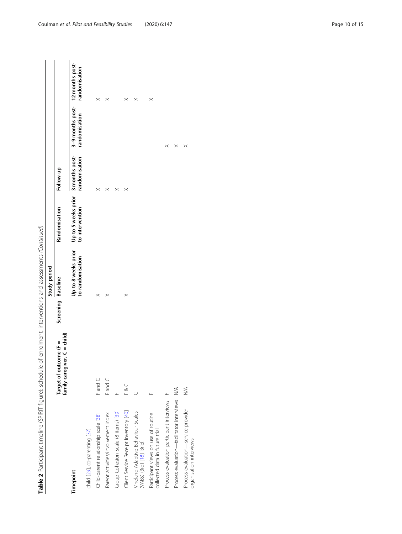| S<br>ï                                                              |   |
|---------------------------------------------------------------------|---|
| I<br>ζ                                                              |   |
| J<br>۱<br>l<br>֕<br>l<br>֡֡֡֡֡֡֡֡֡<br>j<br>۱<br>$\overline{a}$<br>j |   |
| Ī<br>١<br>١                                                         | i |
| ļ                                                                   |   |
| ļ<br>s volon<br>$\overline{a}$                                      |   |
| Ì                                                                   |   |
| ׇ֚֬<br>1<br>١<br>$\ddot{\phantom{0}}$                               |   |
| $\overline{\phantom{a}}$<br>i                                       |   |
| $\frac{1}{2}$<br>١<br>l                                             |   |
| م<br>ا<br>।<br>।<br>ı                                               |   |
| ŕ                                                                   |   |

|                                                                       |                                                        |                    | Study period                            |                                                       |               |                                                   |               |
|-----------------------------------------------------------------------|--------------------------------------------------------|--------------------|-----------------------------------------|-------------------------------------------------------|---------------|---------------------------------------------------|---------------|
|                                                                       | family caregiver, C = child)<br>Target of outcome (F = | Screening Baseline |                                         | Randomisation                                         | Follow-up     |                                                   |               |
| Timepoint                                                             |                                                        |                    | Up to 8 weeks prior<br>to randomisation | Up to 5 weeks prior 3 months post-<br>to intervention | randomisation | 3-9 months post- 12 months post-<br>randomisation | randomisation |
| child [29], co-parenting [37]                                         |                                                        |                    |                                         |                                                       |               |                                                   |               |
| Child-parent relationship scale [38]                                  | F and C                                                |                    |                                         |                                                       |               |                                                   | $\times$      |
| Parent activities/involvement index                                   | F and C                                                |                    | $\times$                                |                                                       | $\times$      |                                                   | $\times$      |
| Group Cohesion Scale (8 items) [39]                                   |                                                        |                    |                                         |                                                       | $\times$      |                                                   |               |
| Client Service Receipt Inventory [40]                                 | $E \otimes C$                                          |                    | $\times$                                |                                                       | $\times$      |                                                   | $\times$      |
| Vineland Adaptive Behaviour Scales<br>(VABS) (3rd) [18]. Brief.       | $\cup$                                                 |                    |                                         |                                                       |               |                                                   | $\times$      |
| Participant views on use of routine<br>collected data in future trial |                                                        |                    |                                         |                                                       |               |                                                   | $\times$      |
| Process evaluation-participant interviews                             |                                                        |                    |                                         |                                                       |               | $\times$                                          |               |
| Process evaluation-facilitator interviews N/A                         |                                                        |                    |                                         |                                                       |               | $\times$                                          |               |
| Process evaluation-service provider<br>organisation interviews        | ≶                                                      |                    |                                         |                                                       |               | $\times$                                          |               |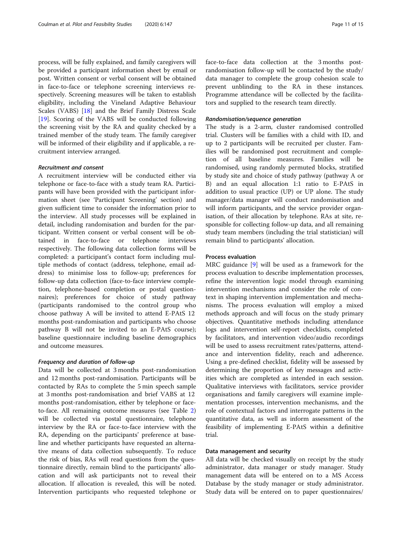process, will be fully explained, and family caregivers will be provided a participant information sheet by email or post. Written consent or verbal consent will be obtained in face-to-face or telephone screening interviews respectively. Screening measures will be taken to establish eligibility, including the Vineland Adaptive Behaviour Scales (VABS) [[18\]](#page-13-0) and the Brief Family Distress Scale [[19\]](#page-13-0). Scoring of the VABS will be conducted following the screening visit by the RA and quality checked by a trained member of the study team. The family caregiver will be informed of their eligibility and if applicable, a recruitment interview arranged.

#### Recruitment and consent

A recruitment interview will be conducted either via telephone or face-to-face with a study team RA. Participants will have been provided with the participant information sheet (see 'Participant Screening' section) and given sufficient time to consider the information prior to the interview. All study processes will be explained in detail, including randomisation and burden for the participant. Written consent or verbal consent will be obtained in face-to-face or telephone interviews respectively. The following data collection forms will be completed: a participant's contact form including multiple methods of contact (address, telephone, email address) to minimise loss to follow-up; preferences for follow-up data collection (face-to-face interview completion, telephone-based completion or postal questionnaires); preferences for choice of study pathway (participants randomised to the control group who choose pathway A will be invited to attend E-PAtS 12 months post-randomisation and participants who choose pathway B will not be invited to an E-PAtS course); baseline questionnaire including baseline demographics and outcome measures.

#### Frequency and duration of follow-up

Data will be collected at 3 months post-randomisation and 12 months post-randomisation. Participants will be contacted by RAs to complete the 5 min speech sample at 3 months post-randomisation and brief VABS at 12 months post-randomisation, either by telephone or faceto-face. All remaining outcome measures (see Table [2](#page-8-0)) will be collected via postal questionnaire, telephone interview by the RA or face-to-face interview with the RA, depending on the participants' preference at baseline and whether participants have requested an alternative means of data collection subsequently. To reduce the risk of bias, RAs will read questions from the questionnaire directly, remain blind to the participants' allocation and will ask participants not to reveal their allocation. If allocation is revealed, this will be noted. Intervention participants who requested telephone or face-to-face data collection at the 3 months postrandomisation follow-up will be contacted by the study/ data manager to complete the group cohesion scale to prevent unblinding to the RA in these instances. Programme attendance will be collected by the facilitators and supplied to the research team directly.

#### Randomisation/sequence generation

The study is a 2-arm, cluster randomised controlled trial. Clusters will be families with a child with ID, and up to 2 participants will be recruited per cluster. Families will be randomised post recruitment and completion of all baseline measures. Families will be randomised, using randomly permuted blocks, stratified by study site and choice of study pathway (pathway A or B) and an equal allocation 1:1 ratio to E-PAtS in addition to usual practice (UP) or UP alone. The study manager/data manager will conduct randomisation and will inform participants, and the service provider organisation, of their allocation by telephone. RAs at site, responsible for collecting follow-up data, and all remaining study team members (including the trial statistician) will remain blind to participants' allocation.

#### Process evaluation

MRC guidance [\[9](#page-13-0)] will be used as a framework for the process evaluation to describe implementation processes, refine the intervention logic model through examining intervention mechanisms and consider the role of context in shaping intervention implementation and mechanisms. The process evaluation will employ a mixed methods approach and will focus on the study primary objectives. Quantitative methods including attendance logs and intervention self-report checklists, completed by facilitators, and intervention video/audio recordings will be used to assess recruitment rates/patterns, attendance and intervention fidelity, reach and adherence. Using a pre-defined checklist, fidelity will be assessed by determining the proportion of key messages and activities which are completed as intended in each session. Qualitative interviews with facilitators, service provider organisations and family caregivers will examine implementation processes, intervention mechanisms, and the role of contextual factors and interrogate patterns in the quantitative data, as well as inform assessment of the feasibility of implementing E-PAtS within a definitive trial.

#### Data management and security

All data will be checked visually on receipt by the study administrator, data manager or study manager. Study management data will be entered on to a MS Access Database by the study manager or study administrator. Study data will be entered on to paper questionnaires/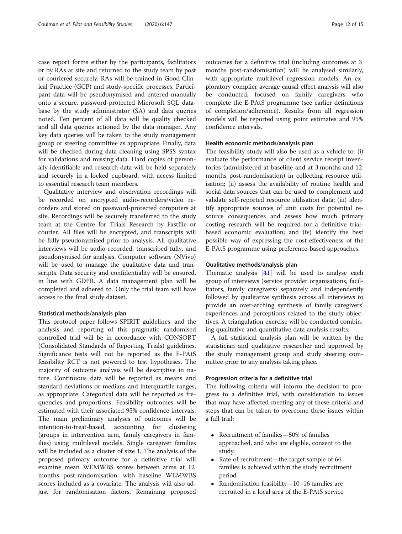case report forms either by the participants, facilitators or by RAs at site and returned to the study team by post or couriered securely. RAs will be trained in Good Clinical Practice (GCP) and study-specific processes. Participant data will be pseudonymised and entered manually onto a secure, password-protected Microsoft SQL database by the study administrator (SA) and data queries noted. Ten percent of all data will be quality checked and all data queries actioned by the data manager. Any key data queries will be taken to the study management group or steering committee as appropriate. Finally, data will be checked during data cleaning using SPSS syntax for validations and missing data. Hard copies of personally identifiable and research data will be held separately and securely in a locked cupboard, with access limited to essential research team members.

Qualitative interview and observation recordings will be recorded on encrypted audio-recorders/video recorders and stored on password-protected computers at site. Recordings will be securely transferred to the study team at the Centre for Trials Research by Fastfile or courier. All files will be encrypted, and transcripts will be fully pseudonymised prior to analysis. All qualitative interviews will be audio-recorded, transcribed fully, and pseudonymised for analysis. Computer software (NVivo) will be used to manage the qualitative data and transcripts. Data security and confidentiality will be ensured, in line with GDPR. A data management plan will be completed and adhered to. Only the trial team will have access to the final study dataset.

#### Statistical methods/analysis plan

This protocol paper follows SPIRIT guidelines, and the analysis and reporting of this pragmatic randomised controlled trial will be in accordance with CONSORT (Consolidated Standards of Reporting Trials) guidelines. Significance tests will not be reported as the E-PAtS feasibility RCT is not powered to test hypotheses. The majority of outcome analysis will be descriptive in nature. Continuous data will be reported as means and standard deviations or medians and interquartile ranges, as appropriate. Categorical data will be reported as frequencies and proportions. Feasibility outcomes will be estimated with their associated 95% confidence intervals. The main preliminary analyses of outcomes will be intention-to-treat-based, accounting for clustering (groups in intervention arm, family caregivers in families) using multilevel models. Single caregiver families will be included as a cluster of size 1. The analysis of the proposed primary outcome for a definitive trial will examine mean WEMWBS scores between arms at 12 months post-randomisation, with baseline WEMWBS scores included as a covariate. The analysis will also adjust for randomisation factors. Remaining proposed outcomes for a definitive trial (including outcomes at 3 months post-randomisation) will be analysed similarly, with appropriate multilevel regression models. An exploratory complier average causal effect analysis will also be conducted, focused on family caregivers who complete the E-PAtS programme (see earlier definitions of completion/adherence). Results from all regression models will be reported using point estimates and 95% confidence intervals.

#### Health economic methods/analysis plan

The feasibility study will also be used as a vehicle to: (i) evaluate the performance of client service receipt inventories (administered at baseline and at 3 months and 12 months post-randomisation) in collecting resource utilisation; (ii) assess the availability of routine health and social data sources that can be used to complement and validate self-reported resource utilisation data; (iii) identify appropriate sources of unit costs for potential resource consequences and assess how much primary costing research will be required for a definitive trialbased economic evaluation; and (iv) identify the best possible way of expressing the cost-effectiveness of the E-PAtS programme using preference-based approaches.

#### Qualitative methods/analysis plan

Thematic analysis  $[41]$  $[41]$  will be used to analyse each group of interviews (service provider organisations, facilitators, family caregivers) separately and independently followed by qualitative synthesis across all interviews to provide an over-arching synthesis of family caregivers' experiences and perceptions related to the study objectives. A triangulation exercise will be conducted combining qualitative and quantitative data analysis results.

A full statistical analysis plan will be written by the statistician and qualitative researcher and approved by the study management group and study steering committee prior to any analysis taking place.

#### Progression criteria for a definitive trial

The following criteria will inform the decision to progress to a definitive trial, with consideration to issues that may have affected meeting any of these criteria and steps that can be taken to overcome these issues within a full trial:

- Recruitment of families—50% of families approached, and who are eligible, consent to the study.
- Rate of recruitment—the target sample of 64 families is achieved within the study recruitment period.
- Randomisation feasibility—10–16 families are recruited in a local area of the E-PAtS service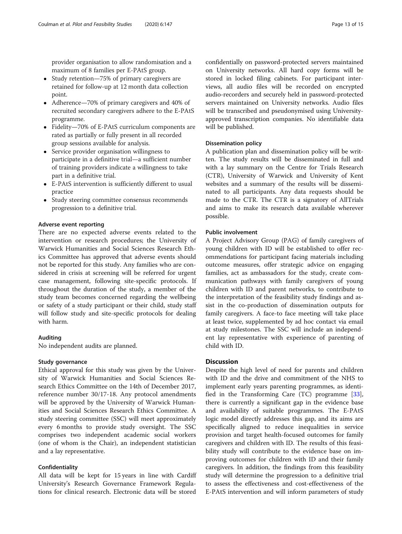provider organisation to allow randomisation and a maximum of 8 families per E-PAtS group.

- Study retention—75% of primary caregivers are retained for follow-up at 12 month data collection point.
- Adherence—70% of primary caregivers and 40% of recruited secondary caregivers adhere to the E-PAtS programme.
- Fidelity—70% of E-PAtS curriculum components are rated as partially or fully present in all recorded group sessions available for analysis.
- Service provider organisation willingness to participate in a definitive trial—a sufficient number of training providers indicate a willingness to take part in a definitive trial.
- E-PAtS intervention is sufficiently different to usual practice
- Study steering committee consensus recommends progression to a definitive trial.

#### Adverse event reporting

There are no expected adverse events related to the intervention or research procedures; the University of Warwick Humanities and Social Sciences Research Ethics Committee has approved that adverse events should not be reported for this study. Any families who are considered in crisis at screening will be referred for urgent case management, following site-specific protocols. If throughout the duration of the study, a member of the study team becomes concerned regarding the wellbeing or safety of a study participant or their child, study staff will follow study and site-specific protocols for dealing with harm.

#### Auditing

No independent audits are planned.

# Study governance

Ethical approval for this study was given by the University of Warwick Humanities and Social Sciences Research Ethics Committee on the 14th of December 2017, reference number 30/17-18. Any protocol amendments will be approved by the University of Warwick Humanities and Social Sciences Research Ethics Committee. A study steering committee (SSC) will meet approximately every 6 months to provide study oversight. The SSC comprises two independent academic social workers (one of whom is the Chair), an independent statistician and a lay representative.

#### Confidentiality

All data will be kept for 15 years in line with Cardiff University's Research Governance Framework Regulations for clinical research. Electronic data will be stored confidentially on password-protected servers maintained on University networks. All hard copy forms will be stored in locked filing cabinets. For participant interviews, all audio files will be recorded on encrypted audio-recorders and securely held in password-protected servers maintained on University networks. Audio files will be transcribed and pseudonymised using Universityapproved transcription companies. No identifiable data will be published.

### Dissemination policy

A publication plan and dissemination policy will be written. The study results will be disseminated in full and with a lay summary on the Centre for Trials Research (CTR), University of Warwick and University of Kent websites and a summary of the results will be disseminated to all participants. Any data requests should be made to the CTR. The CTR is a signatory of AllTrials and aims to make its research data available wherever possible.

# Public involvement

A Project Advisory Group (PAG) of family caregivers of young children with ID will be established to offer recommendations for participant facing materials including outcome measures, offer strategic advice on engaging families, act as ambassadors for the study, create communication pathways with family caregivers of young children with ID and parent networks, to contribute to the interpretation of the feasibility study findings and assist in the co-production of dissemination outputs for family caregivers. A face-to face meeting will take place at least twice, supplemented by ad hoc contact via email at study milestones. The SSC will include an independent lay representative with experience of parenting of child with ID.

# **Discussion**

Despite the high level of need for parents and children with ID and the drive and commitment of the NHS to implement early years parenting programmes, as identified in the Transforming Care (TC) programme [\[33](#page-14-0)], there is currently a significant gap in the evidence base and availability of suitable programmes. The E-PAtS logic model directly addresses this gap, and its aims are specifically aligned to reduce inequalities in service provision and target health-focused outcomes for family caregivers and children with ID. The results of this feasibility study will contribute to the evidence base on improving outcomes for children with ID and their family caregivers. In addition, the findings from this feasibility study will determine the progression to a definitive trial to assess the effectiveness and cost-effectiveness of the E-PAtS intervention and will inform parameters of study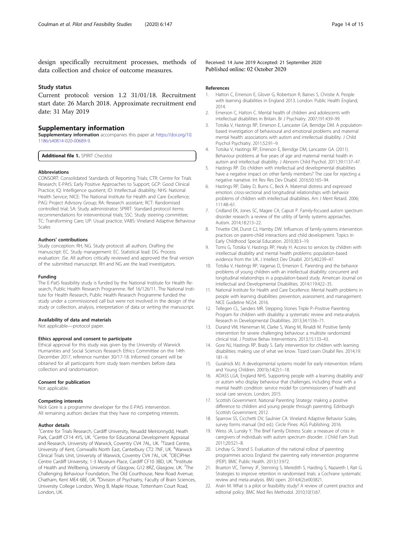<span id="page-13-0"></span>design specifically recruitment processes, methods of data collection and choice of outcome measures.

# Study status

Current protocol: version 1.2 31/01/18. Recruitment start date: 26 March 2018. Approximate recruitment end date: 31 May 2019

# Supplementary information

Supplementary information accompanies this paper at [https://doi.org/10.](https://doi.org/10.1186/s40814-020-00689-9) [1186/s40814-020-00689-9](https://doi.org/10.1186/s40814-020-00689-9).

Additional file 1. SPIRIT Checklist

#### Abbreviations

CONSORT: Consolidated Standards of Reporting Trials; CTR: Centre for Trials Research; E-PAtS: Early Positive Approaches to Support; GCP: Good Clinical Practice; IQ: Intelligence quotient; ID: Intellectual disability; NHS: National Health Service; NICE: The National Institute for Health and Care Excellence; PAG: Project Advisory Group; RA: Research assistant; RCT: Randomised controlled trial; SA: Study administrator; SPIRIT: Standard protocol items: recommendations for interventional trials; SSC: Study steering committee; TC: Transforming Care; UP: Usual practice; VABS: Vineland Adaptive Behaviour Scales

#### Authors' contributions

Study conception: RH, NG. Study protocol: all authors. Drafting the manuscript: EC. Study management: EC. Statistical lead: DG. Process evaluation: JSe. All authors critically reviewed and approved the final version of the submitted manuscript. RH and NG are the lead investigators.

#### Funding

The E-PatS feasibility study is funded by the National Institute for Health Research, Public Health Research Programme. Ref 16/126/11. The National Institute for Health Research, Public Health Research Programme funded the study under a commissioned call but were not involved in the design of the study or collection, analysis, interpretation of data or writing the manuscript.

#### Availability of data and materials

Not applicable—protocol paper.

#### Ethics approval and consent to participate

Ethical approval for this study was given by the University of Warwick Humanities and Social Sciences Research Ethics Committee on the 14th December 2017, reference number 30/17-18. Informed consent will be obtained for all participants from study team members before data collection and randomisation.

#### Consent for publication

Not applicable.

#### Competing interests

Nick Gore is a programme developer for the E-PAtS intervention. All remaining authors declare that they have no competing interests.

#### Author details

<sup>1</sup> Centre for Trials Research, Cardiff University, Neuadd Meirionnydd, Heath Park, Cardiff CF14 4YS, UK. <sup>2</sup>Centre for Educational Development Appraisal and Research, University of Warwick, Coventry CV4 7AL, UK. <sup>3</sup>Tizard Centre, University of Kent, Cornwallis North East, Canterbury CT2 7NF, UK. <sup>4</sup>Warwick Clinical Trials Unit, University of Warwick, Coventry CV4 7AL, UK. <sup>5</sup>DECIPHer Centre Cardiff University, 1-3 Museum Place, Cardiff CF10 3BD, UK. <sup>6</sup>Institute of Health and Wellbeing, University of Glasgow, G12 8RZ, Glasgow, UK. <sup>7</sup>The Challenging Behaviour Foundation, The Old Courthouse, New Road Avenue, Chatham, Kent ME4 6BE, UK. <sup>8</sup>Division of Psychiatry, Faculty of Brain Sciences, University College London, Wing B, Maple House, Tottenham Court Road, London, UK.

Received: 14 June 2019 Accepted: 21 September 2020 Published online: 02 October 2020

#### References

- 1. Hatton C, Emerson E, Glover G, Robertson R, Baines S, Christie A. People with learning disabilities in England 2013. London: Public Health England; 2014.
- 2. Emerson C, Hatton C. Mental health of children and adolescents with intellectual disabilities in Britain. Br J Psychiatry. 2007;191:439–99.
- 3. Totsika V, Hastings RP, Emerson E, Lancaster GA, Berridge DM. A populationbased investigation of behavioural and emotional problems and maternal mental health: associations with autism and intellectual disability. J Child Psychol Psychiatry. 2011;52:91–9.
- 4. Totsika V, Hastings RP, Emerson E, Berridge DM, Lancaster GA. (2011). Behaviour problems at five years of age and maternal mental health in autism and intellectual disability. J Abnorm Child Psychol. 2011;39:1137–47.
- 5. Hastings RP. Do children with intellectual and developmental disabilities have a negative impact on other family members? The case for rejecting a negative narrative. Int Rev Res Dev Disabil. 2016;50:165–94.
- 6. Hastings RP, Daley D, Burns C, Beck A. Maternal distress and expressed emotion: cross-sectional and longitudinal relationships with behavior problems of children with intellectual disabilities. Am J Ment Retard. 2006; 111:48–61.
- 7. Cridland EK, Jones SC, Magee CA, Caputi P. Family-focused autism spectrum disorder research: a review of the utility of family systems approaches. Autism. 2014;18:213–22.
- 8. Trivette CM, Dunst CJ, Hamby DW. Influences of family-systems intervention practices on parent-child interactions and child development. Topics in Early Childhood Special Education. 2010;30:3–19.
- Toms G, Totsika V, Hastings RP, Healy H. Access to services by children with intellectual disability and mental health problems: population-based evidence from the UK. J Intellect Dev Disabil. 2015;40:239–47.
- 10. Totsika V, Hastings RP, Vagenas D, Emerson E. Parenting and the behavior problems of young children with an intellectual disability: concurrent and longitudinal relationships in a population-based study. American Journal on Intellectual and Developmental Disabilities. 2014;119:422–35.
- 11. National Institute for Health and Care Excellence. Mental health problems in people with learning disabilities: prevention, assessment, and management. NICE Guideline NG54. 2016.
- 12. Tellegen CL, Sanders MR. Stepping Stones Triple P–Positive Parenting Program for children with disability: a systematic review and meta-analysis. Research in Developmental Disabilities. 2013;34:1556–71.
- 13. Durand VM, Hieneman M, Clarke S, Wang M, Rinaldi M. Positive family intervention for severe challenging behaviour: a multisite randomized clinical trial. J Positive Behav Interventions. 2013;15:133–43.
- 14. Gore NJ, Hastings RP, Brady S. Early intervention for children with learning disabilities: making use of what we know. Tizard Learn Disabil Rev. 2014;19: 181–9.
- 15. Guralnick MJ. A developmental systems model for early intervention. Infants and Young Children. 2001b;14(2):1–18.
- 16. ADASS LGA, England NHS. Supporting people with a learning disability and/ or autism who display behaviour that challenges, including those with a mental health condition: service model for commissioners of health and social care services. London; 2015.
- 17. Scottish Government. National Parenting Strategy: making a positive difference to children and young people through parenting. Edinburgh: Scottish Government; 2012.
- 18. Sparrow SS, Cicchetti DV, Saulnier CA. Vineland Adaptive Behavior Scales, survey forms manual (3rd ed.). Circle Pines: AGS Publishing; 2016.
- 19. Weiss JA, Lunsky Y. The Brief Family Distress Scale: a measure of crisis in caregivers of individuals with autism spectrum disorder. J Child Fam Stud. 2011;20:521–8.
- 20. Lindsay G, Strand S. Evaluation of the national rollout of parenting programmes across England: the parenting early intervention programme (PEIP). BMC Public Health. 2013;13:972.
- 21. Brueton VC, Tierney JF, Stenning S, Meredith S, Harding S, Nazareth I, Rait G. Strategies to improve retention in randomised trials: a Cochrane systematic review and meta-analysis. BMJ open. 2014;4(2):e003821.
- 22. Arain M. What is a pilot or feasibility study? A review of current practice and editorial policy. BMC Med Res Methodol. 2010;10(1):67.